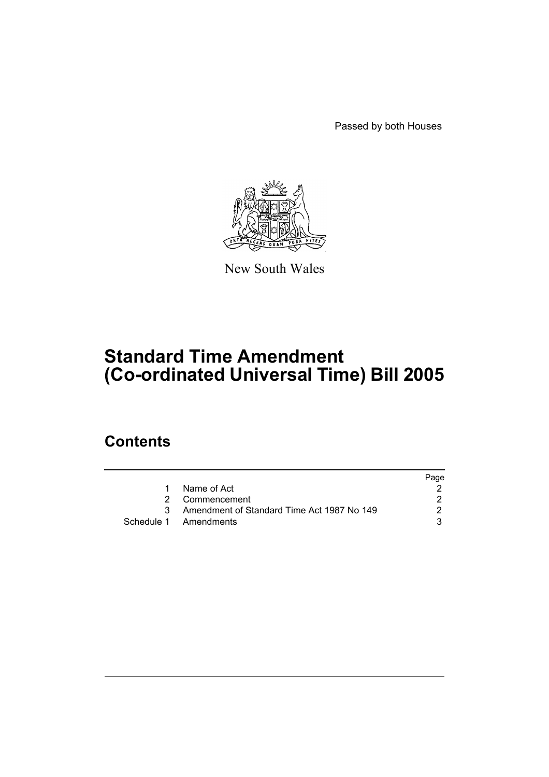Passed by both Houses



New South Wales

# **Standard Time Amendment (Co-ordinated Universal Time) Bill 2005**

### **Contents**

|    |                                            | Page |
|----|--------------------------------------------|------|
|    | Name of Act                                |      |
|    | 2 Commencement                             |      |
| 3. | Amendment of Standard Time Act 1987 No 149 | 2    |
|    | Schedule 1 Amendments                      | З.   |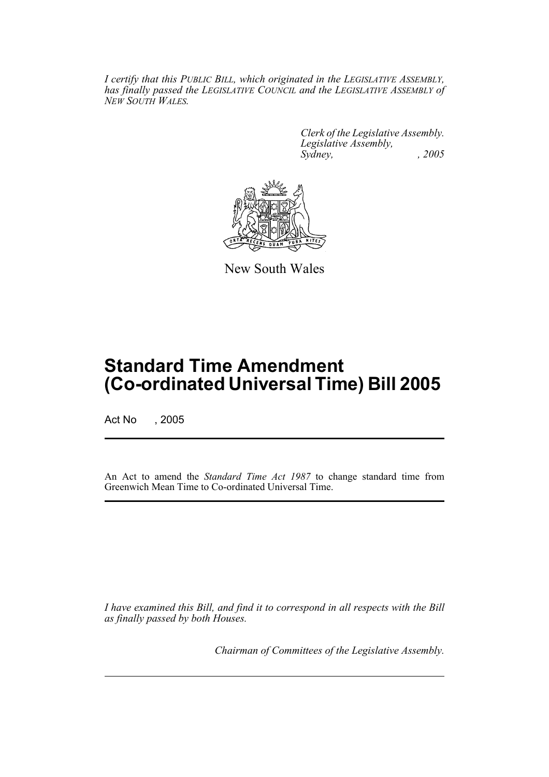*I certify that this PUBLIC BILL, which originated in the LEGISLATIVE ASSEMBLY, has finally passed the LEGISLATIVE COUNCIL and the LEGISLATIVE ASSEMBLY of NEW SOUTH WALES.*

> *Clerk of the Legislative Assembly. Legislative Assembly, Sydney, , 2005*



New South Wales

## **Standard Time Amendment (Co-ordinated Universal Time) Bill 2005**

Act No , 2005

An Act to amend the *Standard Time Act 1987* to change standard time from Greenwich Mean Time to Co-ordinated Universal Time.

*I have examined this Bill, and find it to correspond in all respects with the Bill as finally passed by both Houses.*

*Chairman of Committees of the Legislative Assembly.*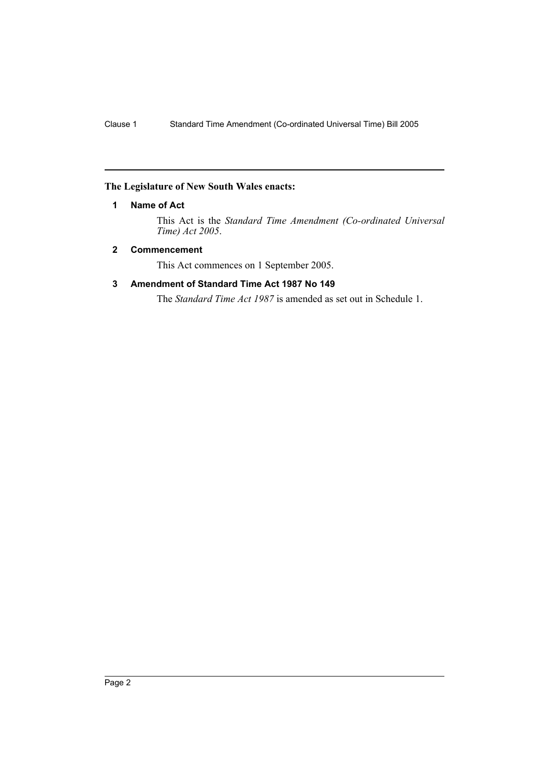#### **The Legislature of New South Wales enacts:**

#### **1 Name of Act**

This Act is the *Standard Time Amendment (Co-ordinated Universal Time) Act 2005*.

#### **2 Commencement**

This Act commences on 1 September 2005.

#### **3 Amendment of Standard Time Act 1987 No 149**

The *Standard Time Act 1987* is amended as set out in Schedule 1.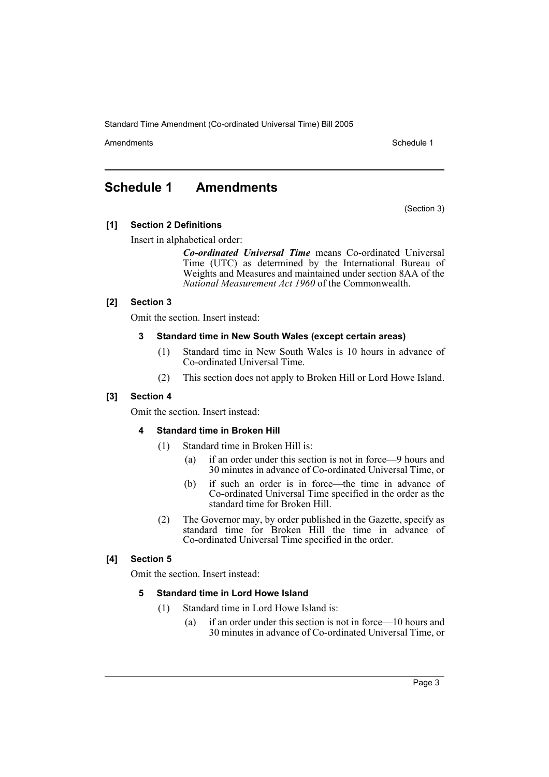Standard Time Amendment (Co-ordinated Universal Time) Bill 2005

Amendments **Schedule 1** and the set of the set of the set of the set of the set of the set of the set of the set of the set of the set of the set of the set of the set of the set of the set of the set of the set of the set

(Section 3)

### **Schedule 1 Amendments**

**[1] Section 2 Definitions**

Insert in alphabetical order:

*Co-ordinated Universal Time* means Co-ordinated Universal Time (UTC) as determined by the International Bureau of Weights and Measures and maintained under section 8AA of the *National Measurement Act 1960* of the Commonwealth.

#### **[2] Section 3**

Omit the section. Insert instead:

#### **3 Standard time in New South Wales (except certain areas)**

- (1) Standard time in New South Wales is 10 hours in advance of Co-ordinated Universal Time.
- (2) This section does not apply to Broken Hill or Lord Howe Island.

#### **[3] Section 4**

Omit the section. Insert instead:

#### **4 Standard time in Broken Hill**

- (1) Standard time in Broken Hill is:
	- (a) if an order under this section is not in force—9 hours and 30 minutes in advance of Co-ordinated Universal Time, or
	- (b) if such an order is in force—the time in advance of Co-ordinated Universal Time specified in the order as the standard time for Broken Hill.
- (2) The Governor may, by order published in the Gazette, specify as standard time for Broken Hill the time in advance of Co-ordinated Universal Time specified in the order.

#### **[4] Section 5**

Omit the section. Insert instead:

#### **5 Standard time in Lord Howe Island**

- (1) Standard time in Lord Howe Island is:
	- (a) if an order under this section is not in force—10 hours and 30 minutes in advance of Co-ordinated Universal Time, or